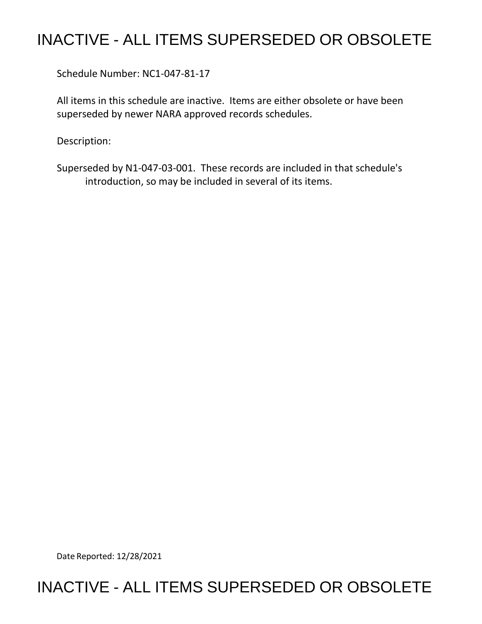## INACTIVE - ALL ITEMS SUPERSEDED OR OBSOLETE

Schedule Number: NC1-047-81-17

 All items in this schedule are inactive. Items are either obsolete or have been superseded by newer NARA approved records schedules.

Description:

 introduction, so may be included in several of its items. Superseded by N1-047-03-001. These records are included in that schedule's

Date Reported: 12/28/2021

## INACTIVE - ALL ITEMS SUPERSEDED OR OBSOLETE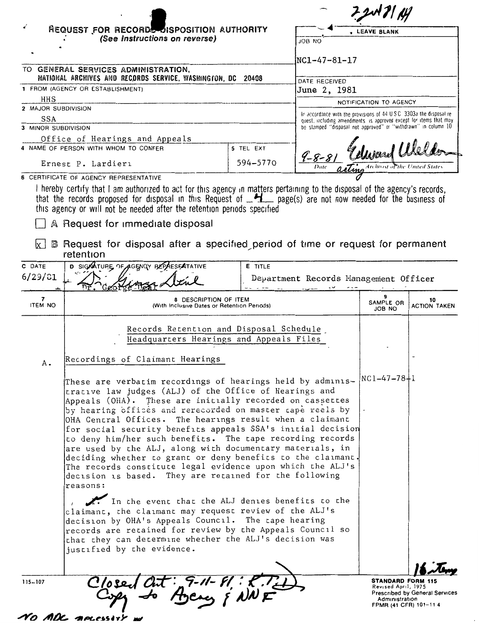|                                                                                     |                                                                                                                                                                                                                                                                                                                                                                                                                                                                                                                                                                                                                                                                                                                                                                                                                                                                                                                                                                                                                                 | . LEAVE BLANK  |                                                                                                                                             |                                                                                            |                                       |  |
|-------------------------------------------------------------------------------------|---------------------------------------------------------------------------------------------------------------------------------------------------------------------------------------------------------------------------------------------------------------------------------------------------------------------------------------------------------------------------------------------------------------------------------------------------------------------------------------------------------------------------------------------------------------------------------------------------------------------------------------------------------------------------------------------------------------------------------------------------------------------------------------------------------------------------------------------------------------------------------------------------------------------------------------------------------------------------------------------------------------------------------|----------------|---------------------------------------------------------------------------------------------------------------------------------------------|--------------------------------------------------------------------------------------------|---------------------------------------|--|
|                                                                                     | REQUEST FOR RECORDS DISPOSITION AUTHORITY<br>(See Instructions on reverse)                                                                                                                                                                                                                                                                                                                                                                                                                                                                                                                                                                                                                                                                                                                                                                                                                                                                                                                                                      |                |                                                                                                                                             |                                                                                            |                                       |  |
|                                                                                     |                                                                                                                                                                                                                                                                                                                                                                                                                                                                                                                                                                                                                                                                                                                                                                                                                                                                                                                                                                                                                                 |                | ON BOL                                                                                                                                      |                                                                                            |                                       |  |
|                                                                                     |                                                                                                                                                                                                                                                                                                                                                                                                                                                                                                                                                                                                                                                                                                                                                                                                                                                                                                                                                                                                                                 |                | $NC1 - 47 - 81 - 17$                                                                                                                        |                                                                                            |                                       |  |
|                                                                                     | TO GENERAL SERVICES ADMINISTRATION,                                                                                                                                                                                                                                                                                                                                                                                                                                                                                                                                                                                                                                                                                                                                                                                                                                                                                                                                                                                             |                |                                                                                                                                             |                                                                                            |                                       |  |
| NATIONAL ARCHIVES AND RECORDS SERVICE, WASHINGTON, DC 20408<br>DATE RECEIVED        |                                                                                                                                                                                                                                                                                                                                                                                                                                                                                                                                                                                                                                                                                                                                                                                                                                                                                                                                                                                                                                 |                |                                                                                                                                             |                                                                                            |                                       |  |
|                                                                                     | 1 FROM (AGENCY OR ESTABLISHMENT)                                                                                                                                                                                                                                                                                                                                                                                                                                                                                                                                                                                                                                                                                                                                                                                                                                                                                                                                                                                                |                | June 2, 1981                                                                                                                                |                                                                                            |                                       |  |
| HHS<br>2 MAJOR SUBDIVISION                                                          |                                                                                                                                                                                                                                                                                                                                                                                                                                                                                                                                                                                                                                                                                                                                                                                                                                                                                                                                                                                                                                 |                | NOTIFICATION TO AGENCY                                                                                                                      |                                                                                            |                                       |  |
| SSA                                                                                 |                                                                                                                                                                                                                                                                                                                                                                                                                                                                                                                                                                                                                                                                                                                                                                                                                                                                                                                                                                                                                                 |                | In accordance with the provisions of 44 U.S.C. 3303a the disposal re-<br>quest, including amendments, is approved except for items that may |                                                                                            |                                       |  |
| 3 MINOR SUBDIVISION                                                                 |                                                                                                                                                                                                                                                                                                                                                                                                                                                                                                                                                                                                                                                                                                                                                                                                                                                                                                                                                                                                                                 |                | be stamped "disposal not approved" or "withdrawn" in column 10                                                                              |                                                                                            |                                       |  |
| Office of Hearings and Appeals<br>4 NAME OF PERSON WITH WHOM TO CONFER<br>5 TEL EXT |                                                                                                                                                                                                                                                                                                                                                                                                                                                                                                                                                                                                                                                                                                                                                                                                                                                                                                                                                                                                                                 |                | $9 - 8 - 8$                                                                                                                                 | Ward Wel.                                                                                  |                                       |  |
|                                                                                     | Ernest P. Lardieri                                                                                                                                                                                                                                                                                                                                                                                                                                                                                                                                                                                                                                                                                                                                                                                                                                                                                                                                                                                                              | 594-5770       |                                                                                                                                             |                                                                                            |                                       |  |
|                                                                                     | 6 CERTIFICATE OF AGENCY REPRESENTATIVE                                                                                                                                                                                                                                                                                                                                                                                                                                                                                                                                                                                                                                                                                                                                                                                                                                                                                                                                                                                          |                |                                                                                                                                             |                                                                                            |                                       |  |
| lx l                                                                                | that the records proposed for disposal in this Request of $\frac{H}{2}$ page(s) are not now needed for the business of<br>this agency or will not be needed after the retention periods specified<br>A Request for immediate disposal<br><b>B</b> Request for disposal after a specified period of time or request for permanent<br>retention                                                                                                                                                                                                                                                                                                                                                                                                                                                                                                                                                                                                                                                                                   |                |                                                                                                                                             |                                                                                            |                                       |  |
| C DATE                                                                              | D SIGNATURE OF AGENCY BEPAESEATATIVE                                                                                                                                                                                                                                                                                                                                                                                                                                                                                                                                                                                                                                                                                                                                                                                                                                                                                                                                                                                            | <b>E</b> TITLE |                                                                                                                                             |                                                                                            |                                       |  |
| 6/29/31                                                                             |                                                                                                                                                                                                                                                                                                                                                                                                                                                                                                                                                                                                                                                                                                                                                                                                                                                                                                                                                                                                                                 |                | Department Records Management Officer                                                                                                       |                                                                                            |                                       |  |
|                                                                                     |                                                                                                                                                                                                                                                                                                                                                                                                                                                                                                                                                                                                                                                                                                                                                                                                                                                                                                                                                                                                                                 |                |                                                                                                                                             |                                                                                            |                                       |  |
| 7<br><b>ITEM NO</b>                                                                 | <b>8 DESCRIPTION OF ITEM</b><br>(With Inclusive Dates or Retention Periods)                                                                                                                                                                                                                                                                                                                                                                                                                                                                                                                                                                                                                                                                                                                                                                                                                                                                                                                                                     |                |                                                                                                                                             | SAMPLE OR<br>JOB NO                                                                        | 10<br><b>ACTION TAKEN</b>             |  |
|                                                                                     | Records Retention and Disposal Schedule<br>Headquarters Hearings and Appeals Files                                                                                                                                                                                                                                                                                                                                                                                                                                                                                                                                                                                                                                                                                                                                                                                                                                                                                                                                              |                |                                                                                                                                             |                                                                                            |                                       |  |
| А.                                                                                  | Recordings of Claimant Hearings                                                                                                                                                                                                                                                                                                                                                                                                                                                                                                                                                                                                                                                                                                                                                                                                                                                                                                                                                                                                 |                |                                                                                                                                             |                                                                                            |                                       |  |
|                                                                                     | These are verbatim recordings of hearings held by adminis-<br>trative law judges (ALJ) of the Office of Hearings and<br>Appeals (OHA). These are initially recorded on cassettes<br>by hearing offices and rerecorded on master tape reels by<br>OHA Central Offices. The hearings result when a claimant<br>for social security benefits appeals SSA's initial decision<br>to deny him/her such benefits. The tape recording records<br>are used by the ALJ, along with documentary materials, in<br>deciding whether to grant or deny benefits to the claimant.<br>The records constitute legal evidence upon which the ALJ's<br>decision is based. They are retained for the following<br>reasons:<br>In the event that the ALJ denies benefits to the<br>claimant, the claimant may request review of the ALJ's<br>decision by OHA's Appeals Council. The tape hearing<br>records are retained for review by the Appeals Council so<br>that they can determine whether the ALJ's decision was<br>justified by the evidence. |                |                                                                                                                                             |                                                                                            | $NC1-47-78+1$                         |  |
| $115 - 107$                                                                         | Closed Cut: 9-11-81: 2.7-1<br>Copy to Agency & NNF                                                                                                                                                                                                                                                                                                                                                                                                                                                                                                                                                                                                                                                                                                                                                                                                                                                                                                                                                                              |                |                                                                                                                                             | <b>STANDARD FORM 115</b><br>Revised April, 1975<br>Administration<br>FPMR (41 CFR) 101-114 | <b>Prescribed by General Services</b> |  |

NO ADC MALESSITY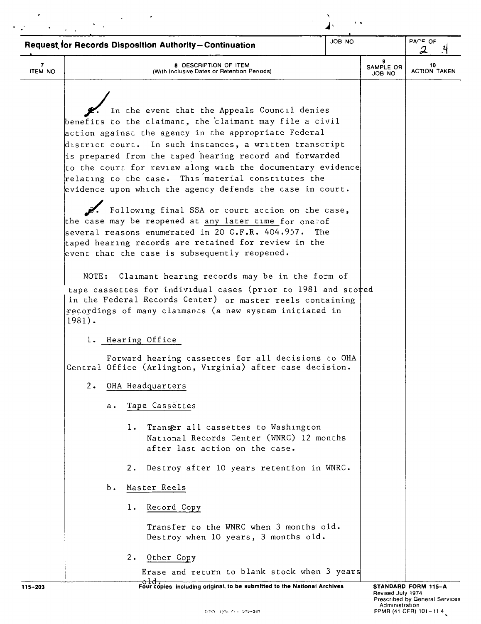| JOB NO<br><b>Request for Records Disposition Authority-Continuation</b> |           |          |                                                                                                                                                                                                                                                                                                                                                                                                                                                                                                                                                                                                                                                                                                                                                                                                                                                                                                                                                                                                         | $P A^c = QF$<br>2 |                          |                           |
|-------------------------------------------------------------------------|-----------|----------|---------------------------------------------------------------------------------------------------------------------------------------------------------------------------------------------------------------------------------------------------------------------------------------------------------------------------------------------------------------------------------------------------------------------------------------------------------------------------------------------------------------------------------------------------------------------------------------------------------------------------------------------------------------------------------------------------------------------------------------------------------------------------------------------------------------------------------------------------------------------------------------------------------------------------------------------------------------------------------------------------------|-------------------|--------------------------|---------------------------|
| <b>ITEM NO</b>                                                          |           |          | 8 DESCRIPTION OF ITEM<br>(With Inclusive Dates or Retention Periods)                                                                                                                                                                                                                                                                                                                                                                                                                                                                                                                                                                                                                                                                                                                                                                                                                                                                                                                                    |                   | 9<br>SAMPLE OR<br>JOB NO | 10<br><b>ACTION TAKEN</b> |
|                                                                         | $1981$ ). |          | In the event that the Appeals Council denies<br>benefits to the claimant, the claimant may file a civil<br>action against the agency in the appropriate Federal<br>district court. In such instances, a written transcript<br>is prepared from the taped hearing record and forwarded<br>$ $ to the court for review along with the documentary evidence<br>relating to the case. This material constitutes the<br>evidence upon which the agency defends the case in court.<br>Following final SSA or court action on the case,<br>the case may be reopened at any later time for one of<br>several reasons enumerated in 20 C.F.R. 404.957.<br>taped hearing records are retained for review in the<br>event that the case is subsequently reopened.<br>NOTE: Claimant hearing records may be in the form of<br>tape cassettes for individual cases (prior to 1981 and stored<br>in the Federal Records Center) or master reels containing<br>recordings of many claimants (a new system initiated in | The               |                          |                           |
|                                                                         |           |          | 1. Hearing Office                                                                                                                                                                                                                                                                                                                                                                                                                                                                                                                                                                                                                                                                                                                                                                                                                                                                                                                                                                                       |                   |                          |                           |
|                                                                         |           |          | Forward hearing cassettes for all decisions to OHA<br>Central Office (Arlington, Virginia) after case decision.                                                                                                                                                                                                                                                                                                                                                                                                                                                                                                                                                                                                                                                                                                                                                                                                                                                                                         |                   |                          |                           |
|                                                                         | $2 \cdot$ |          | OHA Headquarters                                                                                                                                                                                                                                                                                                                                                                                                                                                                                                                                                                                                                                                                                                                                                                                                                                                                                                                                                                                        |                   |                          |                           |
|                                                                         |           | а.       | Tape Cassettes                                                                                                                                                                                                                                                                                                                                                                                                                                                                                                                                                                                                                                                                                                                                                                                                                                                                                                                                                                                          |                   |                          |                           |
|                                                                         |           | $1$ .    | Transer all cassettes to Washington<br>National Records Center (WNRC) 12 months<br>after last action on the case.                                                                                                                                                                                                                                                                                                                                                                                                                                                                                                                                                                                                                                                                                                                                                                                                                                                                                       |                   |                          |                           |
|                                                                         |           | 2.       | Destroy after 10 years retention in WNRC.                                                                                                                                                                                                                                                                                                                                                                                                                                                                                                                                                                                                                                                                                                                                                                                                                                                                                                                                                               |                   |                          |                           |
|                                                                         |           | b.       | Master Reels                                                                                                                                                                                                                                                                                                                                                                                                                                                                                                                                                                                                                                                                                                                                                                                                                                                                                                                                                                                            |                   |                          |                           |
|                                                                         |           | $1$ .    | Record Copy                                                                                                                                                                                                                                                                                                                                                                                                                                                                                                                                                                                                                                                                                                                                                                                                                                                                                                                                                                                             |                   |                          |                           |
|                                                                         |           |          | Transfer to the WNRC when 3 months old.<br>Destroy when 10 years, 3 months old.                                                                                                                                                                                                                                                                                                                                                                                                                                                                                                                                                                                                                                                                                                                                                                                                                                                                                                                         |                   |                          |                           |
|                                                                         |           | $2\cdot$ | Other Copy                                                                                                                                                                                                                                                                                                                                                                                                                                                                                                                                                                                                                                                                                                                                                                                                                                                                                                                                                                                              |                   |                          |                           |
|                                                                         |           |          | Erase and return to blank stock when 3 years<br><del>old.</del>                                                                                                                                                                                                                                                                                                                                                                                                                                                                                                                                                                                                                                                                                                                                                                                                                                                                                                                                         |                   |                          |                           |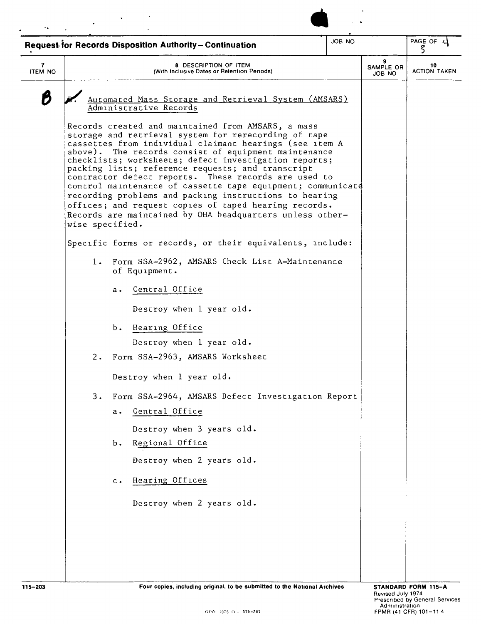| <b>Request for Records Disposition Authority-Continuation</b> |                                                                             | PAGE OF 4<br>5                                                                                                                                                                                                                                                                                                                                                                                                                                                                     |                                                                                                                                                                                                                                                                                                                                                                                                                                                                                                                                                                                                                                                                                                           |                                                             |
|---------------------------------------------------------------|-----------------------------------------------------------------------------|------------------------------------------------------------------------------------------------------------------------------------------------------------------------------------------------------------------------------------------------------------------------------------------------------------------------------------------------------------------------------------------------------------------------------------------------------------------------------------|-----------------------------------------------------------------------------------------------------------------------------------------------------------------------------------------------------------------------------------------------------------------------------------------------------------------------------------------------------------------------------------------------------------------------------------------------------------------------------------------------------------------------------------------------------------------------------------------------------------------------------------------------------------------------------------------------------------|-------------------------------------------------------------|
|                                                               | <b>8 DESCRIPTION OF ITEM</b><br>(With Inclusive Dates or Retention Periods) |                                                                                                                                                                                                                                                                                                                                                                                                                                                                                    | 9<br>SAMPLE OR<br>ON BOL                                                                                                                                                                                                                                                                                                                                                                                                                                                                                                                                                                                                                                                                                  | 10<br><b>ACTION TAKEN</b>                                   |
| а.<br>ь.<br>а.<br>Ъ.<br>$c$ .                                 |                                                                             |                                                                                                                                                                                                                                                                                                                                                                                                                                                                                    |                                                                                                                                                                                                                                                                                                                                                                                                                                                                                                                                                                                                                                                                                                           |                                                             |
|                                                               |                                                                             |                                                                                                                                                                                                                                                                                                                                                                                                                                                                                    |                                                                                                                                                                                                                                                                                                                                                                                                                                                                                                                                                                                                                                                                                                           |                                                             |
|                                                               |                                                                             | Administrative Records<br>Records created and maintained from AMSARS, a mass<br>packing lists; reference requests; and transcript<br>wise specified.<br>of Equipment.<br>Central Office<br>Destroy when 1 year old.<br>Hearing Office<br>Destroy when 1 year old.<br>2. Form SSA-2963, AMSARS Worksheet<br>Destroy when 1 year old.<br>Central Office<br>Destroy when 3 years old.<br>Regional Office<br>Destroy when 2 years old.<br>Hearing Offices<br>Destroy when 2 years old. | Automated Mass Storage and Retrieval System (AMSARS)<br>storage and retrieval system for rerecording of tape<br>cassettes from individual claimant hearings (see item A<br>above). The records consist of equipment maintenance<br>checklists; worksheets; defect investigation reports;<br>contractor defect reports. These records are used to<br>recording problems and packing instructions to hearing<br>offices; and request copies of taped hearing records.<br>Records are maintained by OHA headquarters unless other-<br>Specific forms or records, or their equivalents, include:<br>1. Form SSA-2962, AMSARS Check List A-Maintenance<br>3. Form SSA-2964, AMSARS Defect Investigation Report | control maintenance of cassette tape equipment; communicate |

**STANDARD FORM 115-A**  Revised July 1974<br>Prescribed by General Services<br>Administration<br>FPMR (41 CFR) 101-11 4